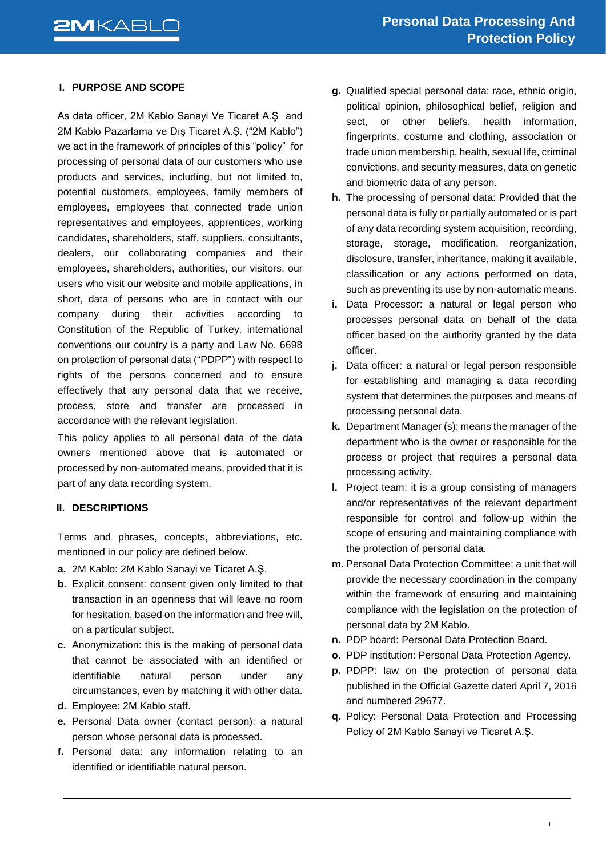## **I. PURPOSE AND SCOPE**

As data officer, 2M Kablo Sanayi Ve Ticaret A.Ş and 2M Kablo Pazarlama ve Dış Ticaret A.Ş. ("2M Kablo") we act in the framework of principles of this "policy" for processing of personal data of our customers who use products and services, including, but not limited to, potential customers, employees, family members of employees, employees that connected trade union representatives and employees, apprentices, working candidates, shareholders, staff, suppliers, consultants, dealers, our collaborating companies and their employees, shareholders, authorities, our visitors, our users who visit our website and mobile applications, in short, data of persons who are in contact with our company during their activities according to Constitution of the Republic of Turkey, international conventions our country is a party and Law No. 6698 on protection of personal data ("PDPP") with respect to rights of the persons concerned and to ensure effectively that any personal data that we receive, process, store and transfer are processed in accordance with the relevant legislation.

This policy applies to all personal data of the data owners mentioned above that is automated or processed by non-automated means, provided that it is part of any data recording system.

### **II. DESCRIPTIONS**

Terms and phrases, concepts, abbreviations, etc. mentioned in our policy are defined below.

- **a.** 2M Kablo: 2M Kablo Sanayi ve Ticaret A.Ş.
- **b.** Explicit consent: consent given only limited to that transaction in an openness that will leave no room for hesitation, based on the information and free will, on a particular subject.
- **c.** Anonymization: this is the making of personal data that cannot be associated with an identified or identifiable natural person under any circumstances, even by matching it with other data.
- **d.** Employee: 2M Kablo staff.
- **e.** Personal Data owner (contact person): a natural person whose personal data is processed.
- **f.** Personal data: any information relating to an identified or identifiable natural person.
- **g.** Qualified special personal data: race, ethnic origin, political opinion, philosophical belief, religion and sect, or other beliefs, health information, fingerprints, costume and clothing, association or trade union membership, health, sexual life, criminal convictions, and security measures, data on genetic and biometric data of any person.
- **h.** The processing of personal data: Provided that the personal data is fully or partially automated or is part of any data recording system acquisition, recording, storage, storage, modification, reorganization, disclosure, transfer, inheritance, making it available, classification or any actions performed on data, such as preventing its use by non-automatic means.
- **i.** Data Processor: a natural or legal person who processes personal data on behalf of the data officer based on the authority granted by the data officer.
- **i.** Data officer: a natural or legal person responsible for establishing and managing a data recording system that determines the purposes and means of processing personal data.
- **k.** Department Manager (s): means the manager of the department who is the owner or responsible for the process or project that requires a personal data processing activity.
- **l.** Project team: it is a group consisting of managers and/or representatives of the relevant department responsible for control and follow-up within the scope of ensuring and maintaining compliance with the protection of personal data.
- **m.** Personal Data Protection Committee: a unit that will provide the necessary coordination in the company within the framework of ensuring and maintaining compliance with the legislation on the protection of personal data by 2M Kablo.
- **n.** PDP board: Personal Data Protection Board.
- **o.** PDP institution: Personal Data Protection Agency.
- **p.** PDPP: law on the protection of personal data published in the Official Gazette dated April 7, 2016 and numbered 29677.
- **q.** Policy: Personal Data Protection and Processing Policy of 2M Kablo Sanayi ve Ticaret A.Ş.

1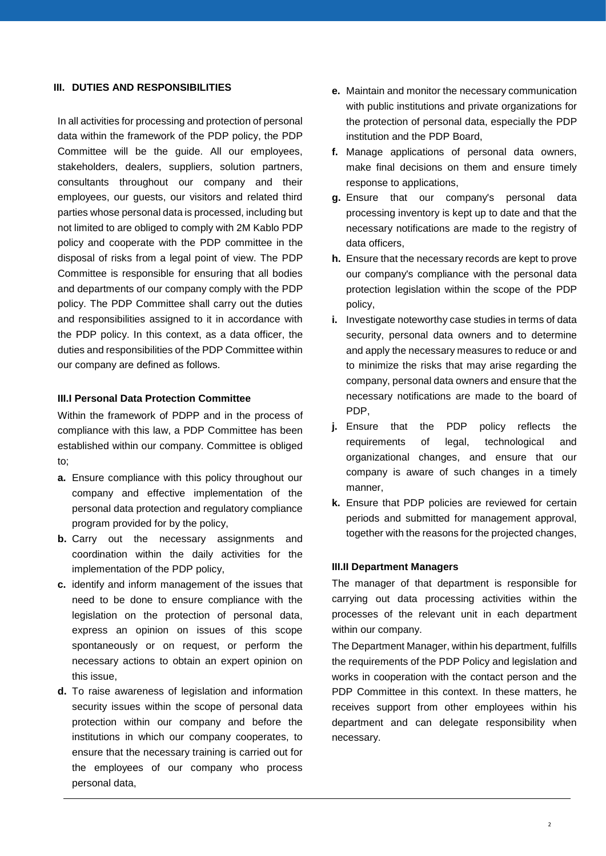## **III. DUTIES AND RESPONSIBILITIES**

In all activities for processing and protection of personal data within the framework of the PDP policy, the PDP Committee will be the guide. All our employees, stakeholders, dealers, suppliers, solution partners, consultants throughout our company and their employees, our guests, our visitors and related third parties whose personal data is processed, including but not limited to are obliged to comply with 2M Kablo PDP policy and cooperate with the PDP committee in the disposal of risks from a legal point of view. The PDP Committee is responsible for ensuring that all bodies and departments of our company comply with the PDP policy. The PDP Committee shall carry out the duties and responsibilities assigned to it in accordance with the PDP policy. In this context, as a data officer, the duties and responsibilities of the PDP Committee within our company are defined as follows.

#### **III.I Personal Data Protection Committee**

Within the framework of PDPP and in the process of compliance with this law, a PDP Committee has been established within our company. Committee is obliged to;

- **a.** Ensure compliance with this policy throughout our company and effective implementation of the personal data protection and regulatory compliance program provided for by the policy,
- **b.** Carry out the necessary assignments and coordination within the daily activities for the implementation of the PDP policy,
- **c.** identify and inform management of the issues that need to be done to ensure compliance with the legislation on the protection of personal data, express an opinion on issues of this scope spontaneously or on request, or perform the necessary actions to obtain an expert opinion on this issue,
- **d.** To raise awareness of legislation and information security issues within the scope of personal data protection within our company and before the institutions in which our company cooperates, to ensure that the necessary training is carried out for the employees of our company who process personal data,
- **e.** Maintain and monitor the necessary communication with public institutions and private organizations for the protection of personal data, especially the PDP institution and the PDP Board,
- **f.** Manage applications of personal data owners, make final decisions on them and ensure timely response to applications,
- **g.** Ensure that our company's personal data processing inventory is kept up to date and that the necessary notifications are made to the registry of data officers,
- **h.** Ensure that the necessary records are kept to prove our company's compliance with the personal data protection legislation within the scope of the PDP policy,
- **i.** Investigate noteworthy case studies in terms of data security, personal data owners and to determine and apply the necessary measures to reduce or and to minimize the risks that may arise regarding the company, personal data owners and ensure that the necessary notifications are made to the board of PDP,
- **j.** Ensure that the PDP policy reflects the requirements of legal, technological and organizational changes, and ensure that our company is aware of such changes in a timely manner,
- **k.** Ensure that PDP policies are reviewed for certain periods and submitted for management approval, together with the reasons for the projected changes,

#### **III.II Department Managers**

The manager of that department is responsible for carrying out data processing activities within the processes of the relevant unit in each department within our company.

The Department Manager, within his department, fulfills the requirements of the PDP Policy and legislation and works in cooperation with the contact person and the PDP Committee in this context. In these matters, he receives support from other employees within his department and can delegate responsibility when necessary.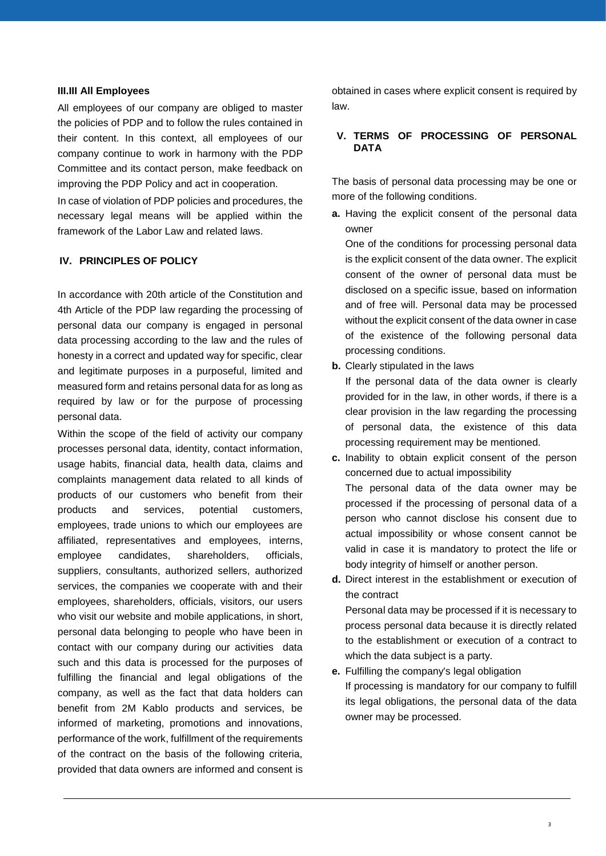#### **III.III All Employees**

All employees of our company are obliged to master the policies of PDP and to follow the rules contained in their content. In this context, all employees of our company continue to work in harmony with the PDP Committee and its contact person, make feedback on improving the PDP Policy and act in cooperation.

In case of violation of PDP policies and procedures, the necessary legal means will be applied within the framework of the Labor Law and related laws.

#### **IV. PRINCIPLES OF POLICY**

In accordance with 20th article of the Constitution and 4th Article of the PDP law regarding the processing of personal data our company is engaged in personal data processing according to the law and the rules of honesty in a correct and updated way for specific, clear and legitimate purposes in a purposeful, limited and measured form and retains personal data for as long as required by law or for the purpose of processing personal data.

Within the scope of the field of activity our company processes personal data, identity, contact information, usage habits, financial data, health data, claims and complaints management data related to all kinds of products of our customers who benefit from their products and services, potential customers, employees, trade unions to which our employees are affiliated, representatives and employees, interns, employee candidates, shareholders, officials, suppliers, consultants, authorized sellers, authorized services, the companies we cooperate with and their employees, shareholders, officials, visitors, our users who visit our website and mobile applications, in short, personal data belonging to people who have been in contact with our company during our activities data such and this data is processed for the purposes of fulfilling the financial and legal obligations of the company, as well as the fact that data holders can benefit from 2M Kablo products and services, be informed of marketing, promotions and innovations, performance of the work, fulfillment of the requirements of the contract on the basis of the following criteria, provided that data owners are informed and consent is

obtained in cases where explicit consent is required by law.

## **V. TERMS OF PROCESSING OF PERSONAL DATA**

The basis of personal data processing may be one or more of the following conditions.

**a.** Having the explicit consent of the personal data owner

One of the conditions for processing personal data is the explicit consent of the data owner. The explicit consent of the owner of personal data must be disclosed on a specific issue, based on information and of free will. Personal data may be processed without the explicit consent of the data owner in case of the existence of the following personal data processing conditions.

**b.** Clearly stipulated in the laws

If the personal data of the data owner is clearly provided for in the law, in other words, if there is a clear provision in the law regarding the processing of personal data, the existence of this data processing requirement may be mentioned.

**c.** Inability to obtain explicit consent of the person concerned due to actual impossibility The personal data of the data owner may be processed if the processing of personal data of a person who cannot disclose his consent due to actual impossibility or whose consent cannot be valid in case it is mandatory to protect the life or body integrity of himself or another person.

**d.** Direct interest in the establishment or execution of the contract

Personal data may be processed if it is necessary to process personal data because it is directly related to the establishment or execution of a contract to which the data subject is a party.

**e.** Fulfilling the company's legal obligation If processing is mandatory for our company to fulfill its legal obligations, the personal data of the data owner may be processed.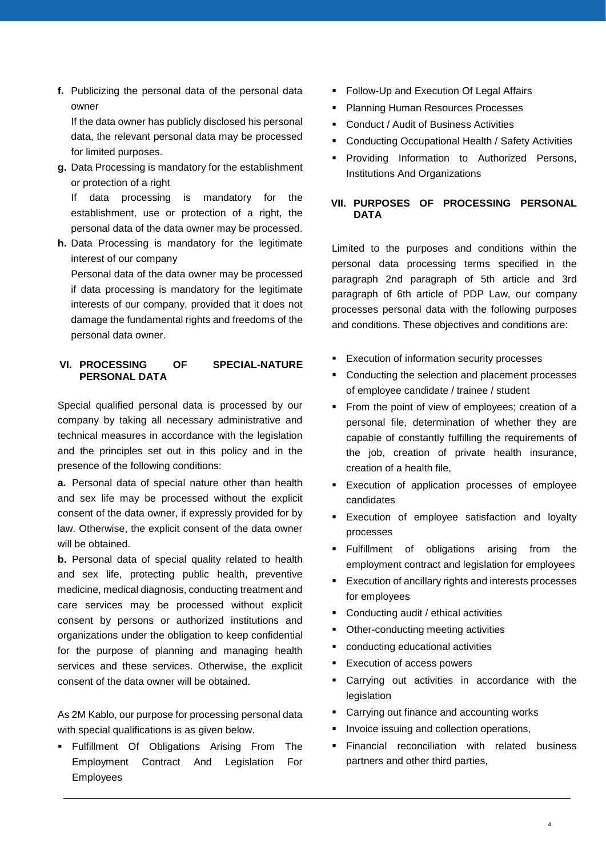**f.** Publicizing the personal data of the personal data owner

If the data owner has publicly disclosed his personal data, the relevant personal data may be processed for limited purposes.

**g.** Data Processing is mandatory for the establishment or protection of a right

If data processing is mandatory for the establishment, use or protection of a right, the personal data of the data owner may be processed.

**h.** Data Processing is mandatory for the legitimate interest of our company

Personal data of the data owner may be processed if data processing is mandatory for the legitimate interests of our company, provided that it does not damage the fundamental rights and freedoms of the personal data owner.

# **VI. PROCESSING OF SPECIAL-NATURE PERSONAL DATA**

Special qualified personal data is processed by our company by taking all necessary administrative and technical measures in accordance with the legislation and the principles set out in this policy and in the presence of the following conditions:

**a.** Personal data of special nature other than health and sex life may be processed without the explicit consent of the data owner, if expressly provided for by law. Otherwise, the explicit consent of the data owner will be obtained.

**b.** Personal data of special quality related to health and sex life, protecting public health, preventive medicine, medical diagnosis, conducting treatment and care services may be processed without explicit consent by persons or authorized institutions and organizations under the obligation to keep confidential for the purpose of planning and managing health services and these services. Otherwise, the explicit consent of the data owner will be obtained.

As 2M Kablo, our purpose for processing personal data with special qualifications is as given below.

**Fulfillment Of Obligations Arising From The** Employment Contract And Legislation For Employees

- **Follow-Up and Execution Of Legal Affairs**
- **Planning Human Resources Processes**
- Conduct / Audit of Business Activities
- **Conducting Occupational Health / Safety Activities**
- **Providing Information to Authorized Persons,** Institutions And Organizations

# **VII. PURPOSES OF PROCESSING PERSONAL DATA**

Limited to the purposes and conditions within the personal data processing terms specified in the paragraph 2nd paragraph of 5th article and 3rd paragraph of 6th article of PDP Law, our company processes personal data with the following purposes and conditions. These objectives and conditions are:

- **Execution of information security processes**
- Conducting the selection and placement processes of employee candidate / trainee / student
- From the point of view of employees; creation of a personal file, determination of whether they are capable of constantly fulfilling the requirements of the job, creation of private health insurance, creation of a health file,
- **Execution of application processes of employee** candidates
- **Execution of employee satisfaction and loyalty** processes
- **Fulfillment** of obligations arising from the employment contract and legislation for employees
- **Execution of ancillary rights and interests processes** for employees
- Conducting audit / ethical activities
- Other-conducting meeting activities
- conducting educational activities
- **Execution of access powers**
- Carrying out activities in accordance with the legislation
- Carrying out finance and accounting works
- Invoice issuing and collection operations,
- **Financial reconciliation with related business** partners and other third parties,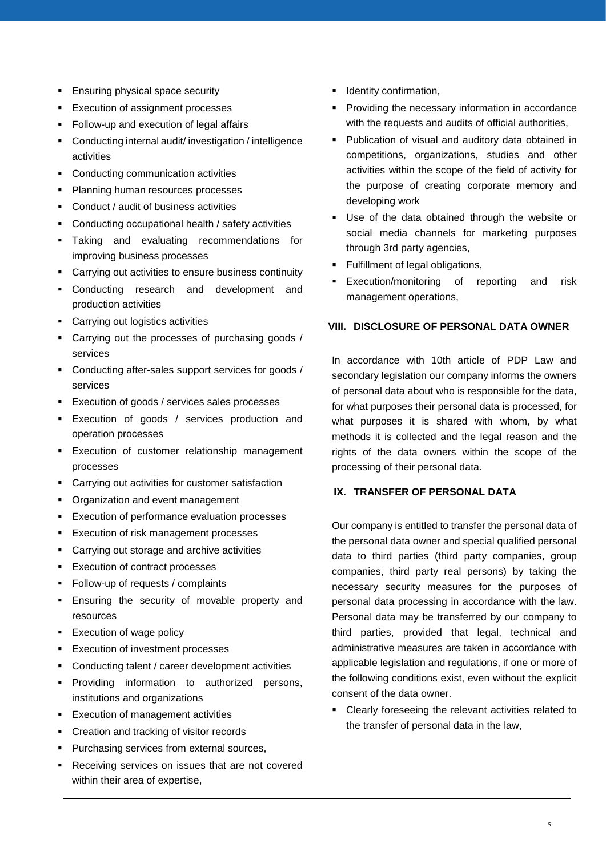- **Ensuring physical space security**
- **Execution of assignment processes**
- **Follow-up and execution of legal affairs**
- Conducting internal audit/ investigation / intelligence activities
- Conducting communication activities
- **Planning human resources processes**
- Conduct / audit of business activities
- Conducting occupational health / safety activities
- **Taking and evaluating recommendations for** improving business processes
- Carrying out activities to ensure business continuity
- Conducting research and development and production activities
- Carrying out logistics activities
- Carrying out the processes of purchasing goods / services
- Conducting after-sales support services for goods / services
- **Execution of goods / services sales processes**
- **Execution of goods / services production and** operation processes
- **Execution of customer relationship management** processes
- **EXEC** Carrying out activities for customer satisfaction
- Organization and event management
- **Execution of performance evaluation processes**
- **Execution of risk management processes**
- Carrying out storage and archive activities
- **Execution of contract processes**
- **Follow-up of requests / complaints**
- **Ensuring the security of movable property and** resources
- **Execution of wage policy**
- **Execution of investment processes**
- Conducting talent / career development activities
- **Providing information to authorized persons,** institutions and organizations
- **Execution of management activities**
- **•** Creation and tracking of visitor records
- **Purchasing services from external sources,**
- Receiving services on issues that are not covered within their area of expertise,
- **I**dentity confirmation,
- **Providing the necessary information in accordance** with the requests and audits of official authorities,
- **Publication of visual and auditory data obtained in** competitions, organizations, studies and other activities within the scope of the field of activity for the purpose of creating corporate memory and developing work
- Use of the data obtained through the website or social media channels for marketing purposes through 3rd party agencies,
- **Fulfillment of legal obligations,**
- Execution/monitoring of reporting and risk management operations,

# **VIII. DISCLOSURE OF PERSONAL DATA OWNER**

In accordance with 10th article of PDP Law and secondary legislation our company informs the owners of personal data about who is responsible for the data, for what purposes their personal data is processed, for what purposes it is shared with whom, by what methods it is collected and the legal reason and the rights of the data owners within the scope of the processing of their personal data.

## **IX. TRANSFER OF PERSONAL DATA**

Our company is entitled to transfer the personal data of the personal data owner and special qualified personal data to third parties (third party companies, group companies, third party real persons) by taking the necessary security measures for the purposes of personal data processing in accordance with the law. Personal data may be transferred by our company to third parties, provided that legal, technical and administrative measures are taken in accordance with applicable legislation and regulations, if one or more of the following conditions exist, even without the explicit consent of the data owner.

 Clearly foreseeing the relevant activities related to the transfer of personal data in the law,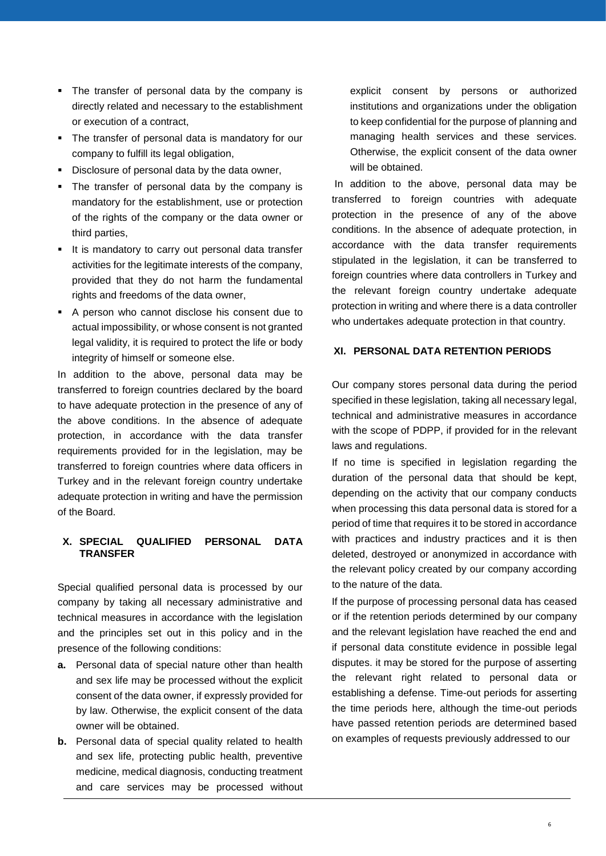- The transfer of personal data by the company is directly related and necessary to the establishment or execution of a contract,
- The transfer of personal data is mandatory for our company to fulfill its legal obligation,
- Disclosure of personal data by the data owner,
- The transfer of personal data by the company is mandatory for the establishment, use or protection of the rights of the company or the data owner or third parties,
- It is mandatory to carry out personal data transfer activities for the legitimate interests of the company, provided that they do not harm the fundamental rights and freedoms of the data owner,
- A person who cannot disclose his consent due to actual impossibility, or whose consent is not granted legal validity, it is required to protect the life or body integrity of himself or someone else.

In addition to the above, personal data may be transferred to foreign countries declared by the board to have adequate protection in the presence of any of the above conditions. In the absence of adequate protection, in accordance with the data transfer requirements provided for in the legislation, may be transferred to foreign countries where data officers in Turkey and in the relevant foreign country undertake adequate protection in writing and have the permission of the Board.

# **X. SPECIAL QUALIFIED PERSONAL DATA TRANSFER**

Special qualified personal data is processed by our company by taking all necessary administrative and technical measures in accordance with the legislation and the principles set out in this policy and in the presence of the following conditions:

- **a.** Personal data of special nature other than health and sex life may be processed without the explicit consent of the data owner, if expressly provided for by law. Otherwise, the explicit consent of the data owner will be obtained.
- **b.** Personal data of special quality related to health and sex life, protecting public health, preventive medicine, medical diagnosis, conducting treatment and care services may be processed without

explicit consent by persons or authorized institutions and organizations under the obligation to keep confidential for the purpose of planning and managing health services and these services. Otherwise, the explicit consent of the data owner will be obtained.

In addition to the above, personal data may be transferred to foreign countries with adequate protection in the presence of any of the above conditions. In the absence of adequate protection, in accordance with the data transfer requirements stipulated in the legislation, it can be transferred to foreign countries where data controllers in Turkey and the relevant foreign country undertake adequate protection in writing and where there is a data controller who undertakes adequate protection in that country.

#### **XI. PERSONAL DATA RETENTION PERIODS**

Our company stores personal data during the period specified in these legislation, taking all necessary legal, technical and administrative measures in accordance with the scope of PDPP, if provided for in the relevant laws and regulations.

If no time is specified in legislation regarding the duration of the personal data that should be kept, depending on the activity that our company conducts when processing this data personal data is stored for a period of time that requires it to be stored in accordance with practices and industry practices and it is then deleted, destroyed or anonymized in accordance with the relevant policy created by our company according to the nature of the data.

If the purpose of processing personal data has ceased or if the retention periods determined by our company and the relevant legislation have reached the end and if personal data constitute evidence in possible legal disputes. it may be stored for the purpose of asserting the relevant right related to personal data or establishing a defense. Time-out periods for asserting the time periods here, although the time-out periods have passed retention periods are determined based on examples of requests previously addressed to our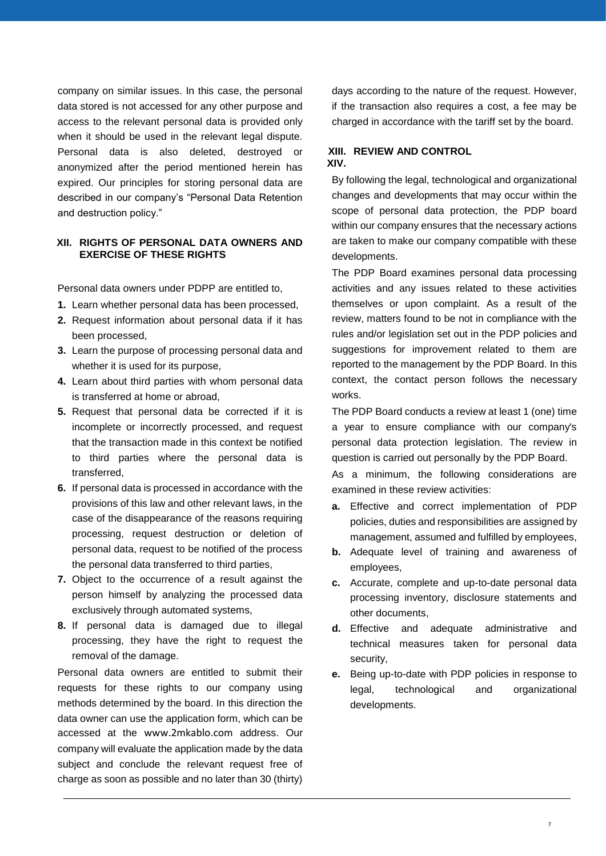company on similar issues. In this case, the personal data stored is not accessed for any other purpose and access to the relevant personal data is provided only when it should be used in the relevant legal dispute. Personal data is also deleted, destroyed or anonymized after the period mentioned herein has expired. Our principles for storing personal data are described in our company's "Personal Data Retention and destruction policy."

## **XII. RIGHTS OF PERSONAL DATA OWNERS AND EXERCISE OF THESE RIGHTS**

Personal data owners under PDPP are entitled to,

- **1.** Learn whether personal data has been processed,
- **2.** Request information about personal data if it has been processed,
- **3.** Learn the purpose of processing personal data and whether it is used for its purpose,
- **4.** Learn about third parties with whom personal data is transferred at home or abroad,
- **5.** Request that personal data be corrected if it is incomplete or incorrectly processed, and request that the transaction made in this context be notified to third parties where the personal data is transferred,
- **6.** If personal data is processed in accordance with the provisions of this law and other relevant laws, in the case of the disappearance of the reasons requiring processing, request destruction or deletion of personal data, request to be notified of the process the personal data transferred to third parties,
- **7.** Object to the occurrence of a result against the person himself by analyzing the processed data exclusively through automated systems,
- **8.** If personal data is damaged due to illegal processing, they have the right to request the removal of the damage.

Personal data owners are entitled to submit their requests for these rights to our company using methods determined by the board. In this direction the data owner can use the application form, which can be accessed at the [www.2mkablo.com](http://www.2mkablo.com/) address. Our company will evaluate the application made by the data subject and conclude the relevant request free of charge as soon as possible and no later than 30 (thirty)

days according to the nature of the request. However, if the transaction also requires a cost, a fee may be charged in accordance with the tariff set by the board.

## **XIII. REVIEW AND CONTROL XIV.**

By following the legal, technological and organizational changes and developments that may occur within the scope of personal data protection, the PDP board within our company ensures that the necessary actions are taken to make our company compatible with these developments.

The PDP Board examines personal data processing activities and any issues related to these activities themselves or upon complaint. As a result of the review, matters found to be not in compliance with the rules and/or legislation set out in the PDP policies and suggestions for improvement related to them are reported to the management by the PDP Board. In this context, the contact person follows the necessary works.

The PDP Board conducts a review at least 1 (one) time a year to ensure compliance with our company's personal data protection legislation. The review in question is carried out personally by the PDP Board.

As a minimum, the following considerations are examined in these review activities:

- **a.** Effective and correct implementation of PDP policies, duties and responsibilities are assigned by management, assumed and fulfilled by employees,
- **b.** Adequate level of training and awareness of employees,
- **c.** Accurate, complete and up-to-date personal data processing inventory, disclosure statements and other documents,
- **d.** Effective and adequate administrative and technical measures taken for personal data security,
- **e.** Being up-to-date with PDP policies in response to legal, technological and organizational developments.